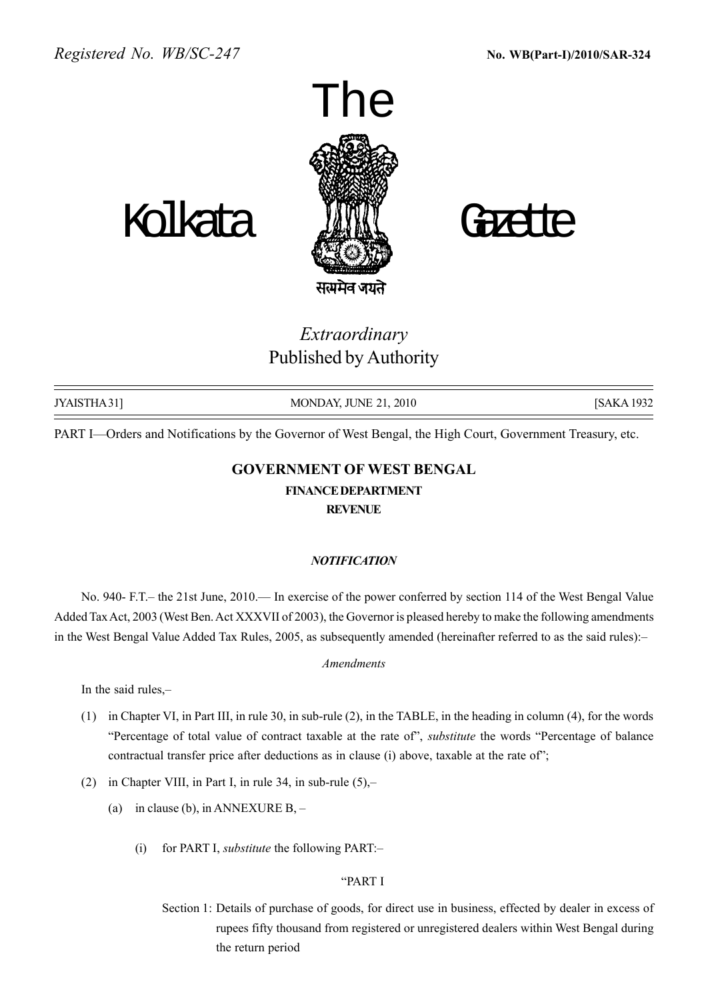



# Extraordinary Published by Authority

| JYAISTHA 31] | MONDAY, JUNE 21, 2010 | [SAKA 1932] |
|--------------|-----------------------|-------------|
|              |                       |             |

PART I—Orders and Notifications by the Governor of West Bengal, the High Court, Government Treasury, etc.

# GOVERNMENT OF WEST BENGAL FINANCEDEPARTMENT **REVENUE**

# **NOTIFICATION**

No. 940- F.T. – the 21st June, 2010. In exercise of the power conferred by section 114 of the West Bengal Value Added Tax Act, 2003 (West Ben. Act XXXVII of 2003), the Governor is pleased hereby to make the following amendments in the West Bengal Value Added Tax Rules, 2005, as subsequently amended (hereinafter referred to as the said rules):

#### Amendments

In the said rules,-

- (1) in Chapter VI, in Part III, in rule 30, in sub-rule (2), in the TABLE, in the heading in column (4), for the words <sup>"</sup>Percentage of total value of contract taxable at the rate of", *substitute* the words "Percentage of balance contractual transfer price after deductions as in clause (i) above, taxable at the rate of";
- (2) in Chapter VIII, in Part I, in rule 34, in sub-rule  $(5)$ ,-
	- (a) in clause (b), in ANNEXURE B,  $-$ 
		- (i) for PART I, *substitute* the following PART: $-$

#### ìPART I

Section 1: Details of purchase of goods, for direct use in business, effected by dealer in excess of rupees fifty thousand from registered or unregistered dealers within West Bengal during the return period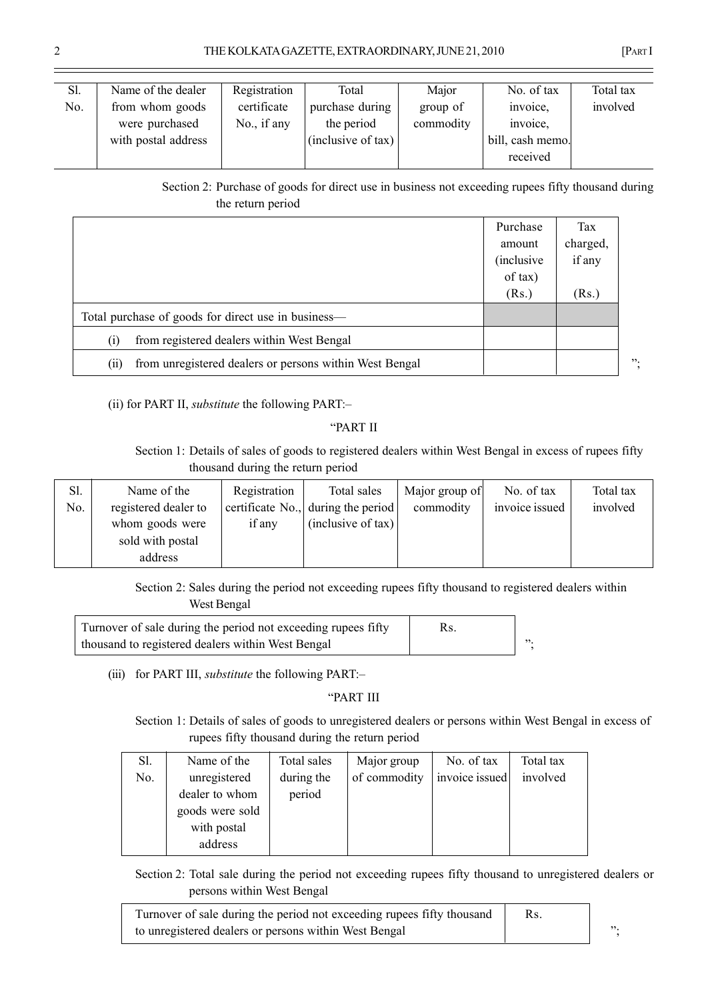| Sl. | Name of the dealer  | Registration | Total              | Major     | No. of tax       | Total tax |
|-----|---------------------|--------------|--------------------|-----------|------------------|-----------|
| No. | from whom goods     | certificate  | purchase during    | group of  | invoice,         | involved  |
|     | were purchased      | No., if any  | the period         | commodity | invoice,         |           |
|     | with postal address |              | (inclusive of tax) |           | bill, cash memo. |           |
|     |                     |              |                    |           | received         |           |

Section 2: Purchase of goods for direct use in business not exceeding rupees fifty thousand during the return period

|                                                                 | Purchase<br>amount<br><i>(inclusive)</i><br>of tax) | Tax<br>charged,<br>if any |   |
|-----------------------------------------------------------------|-----------------------------------------------------|---------------------------|---|
|                                                                 | (Rs.)                                               | (Rs.)                     |   |
| Total purchase of goods for direct use in business—             |                                                     |                           |   |
| from registered dealers within West Bengal<br>$\left( 1\right)$ |                                                     |                           |   |
| from unregistered dealers or persons within West Bengal<br>(11) |                                                     |                           | " |

(ii) for PART II, *substitute* the following PART: $-$ 

# ìPART II

Section 1: Details of sales of goods to registered dealers within West Bengal in excess of rupees fifty thousand during the return period

| Sl. | Name of the          | Registration | Total sales                        | Major group of | No. of tax     | Total tax |
|-----|----------------------|--------------|------------------------------------|----------------|----------------|-----------|
| No. | registered dealer to |              | certificate No., during the period | commodity      | invoice issued | involved  |
|     | whom goods were      | if any       | (inclusive of tax)                 |                |                |           |
|     | sold with postal     |              |                                    |                |                |           |
|     | address              |              |                                    |                |                |           |

Section 2: Sales during the period not exceeding rupees fifty thousand to registered dealers within West Bengal

| Turnover of sale during the period not exceeding rupees fifty |     |
|---------------------------------------------------------------|-----|
| thousand to registered dealers within West Bengal             | 52. |

(iii) for PART III, *substitute* the following PART: $-$ 

# ìPART III

Section 1: Details of sales of goods to unregistered dealers or persons within West Bengal in excess of rupees fifty thousand during the return period

| Sl. | Name of the     | Total sales | Major group  | No. of tax     | Total tax |
|-----|-----------------|-------------|--------------|----------------|-----------|
| No. | unregistered    | during the  | of commodity | invoice issued | involved  |
|     | dealer to whom  | period      |              |                |           |
|     | goods were sold |             |              |                |           |
|     | with postal     |             |              |                |           |
|     | address         |             |              |                |           |

Section 2: Total sale during the period not exceeding rupees fifty thousand to unregistered dealers or persons within West Bengal

| Turnover of sale during the period not exceeding rupees fifty thousand | Rs. |     |
|------------------------------------------------------------------------|-----|-----|
| to unregistered dealers or persons within West Bengal                  |     | 52. |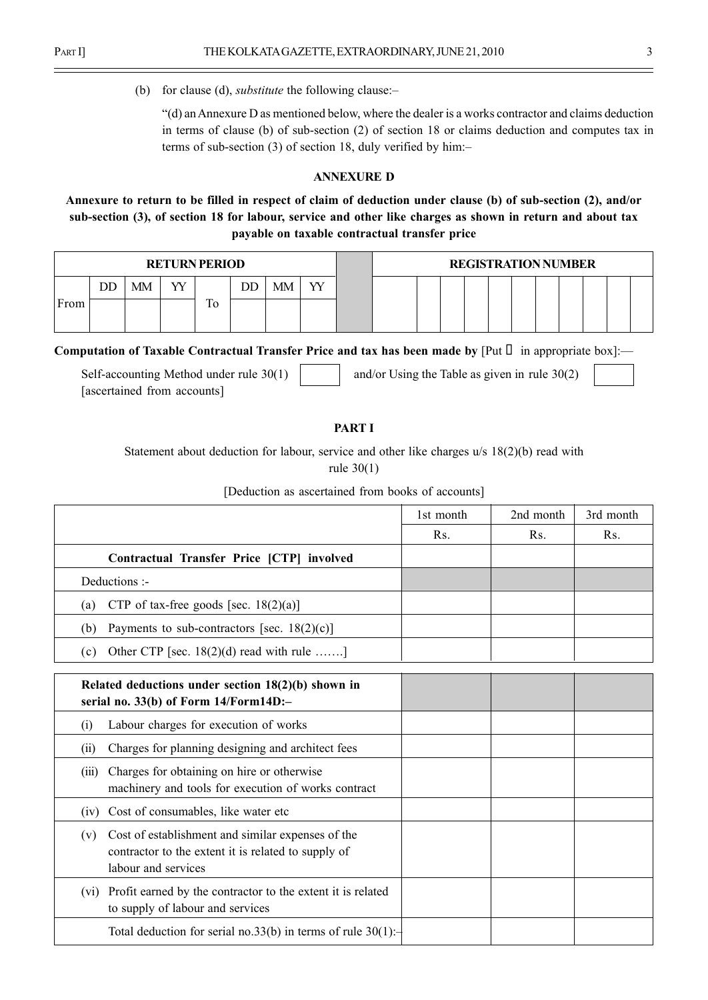(b) for clause (d), *substitute* the following clause: $-\frac{1}{\sqrt{2}}$ 

ì(d) anAnnexure D as mentioned below, where the dealer is a works contractor and claims deduction in terms of clause (b) of sub-section (2) of section 18 or claims deduction and computes tax in terms of sub-section  $(3)$  of section 18, duly verified by him:-

#### ANNEXURE D

# Annexure to return to be filled in respect of claim of deduction under clause (b) of sub-section (2), and/or sub-section (3), of section 18 for labour, service and other like charges as shown in return and about tax payable on taxable contractual transfer price

|      | <b>RETURN PERIOD</b> |    |   |         |    |    |   |  |  |  | <b>REGISTRATION NUMBER</b> |  |  |  |
|------|----------------------|----|---|---------|----|----|---|--|--|--|----------------------------|--|--|--|
|      | DD                   | MM | W |         | DD | МM | W |  |  |  |                            |  |  |  |
| From |                      |    |   | T<br>10 |    |    |   |  |  |  |                            |  |  |  |
|      |                      |    |   |         |    |    |   |  |  |  |                            |  |  |  |

Computation of Taxable Contractual Transfer Price and tax has been made by [Put in appropriate box]:—

Self-accounting Method under rule  $30(1)$  and/or Using the Table as given in rule  $30(2)$ [ascertained from accounts]

#### PART I

Statement about deduction for labour, service and other like charges u/s 18(2)(b) read with rule 30(1)

|                                                       | 1st month | 2nd month | 3rd month |
|-------------------------------------------------------|-----------|-----------|-----------|
|                                                       | Rs.       | Rs.       | Rs.       |
| Contractual Transfer Price [CTP] involved             |           |           |           |
| Deductions :-                                         |           |           |           |
| CTP of tax-free goods [sec. $18(2)(a)$ ]<br>(a)       |           |           |           |
| Payments to sub-contractors [sec. $18(2)(c)$ ]<br>(b) |           |           |           |
| Other CTP [sec. $18(2)(d)$ read with rule ]<br>(c)    |           |           |           |

| Related deductions under section $18(2)(b)$ shown in<br>serial no. $33(b)$ of Form $14/Form14D$ :-                                     |  |  |
|----------------------------------------------------------------------------------------------------------------------------------------|--|--|
| Labour charges for execution of works<br>(1)                                                                                           |  |  |
| Charges for planning designing and architect fees<br>(i)                                                                               |  |  |
| Charges for obtaining on hire or otherwise<br>(111)<br>machinery and tools for execution of works contract                             |  |  |
| (iv) Cost of consumables, like water etc                                                                                               |  |  |
| Cost of establishment and similar expenses of the<br>(v)<br>contractor to the extent it is related to supply of<br>labour and services |  |  |
| (vi) Profit earned by the contractor to the extent it is related<br>to supply of labour and services                                   |  |  |
| Total deduction for serial no.33(b) in terms of rule $30(1)$ :                                                                         |  |  |

[Deduction as ascertained from books of accounts]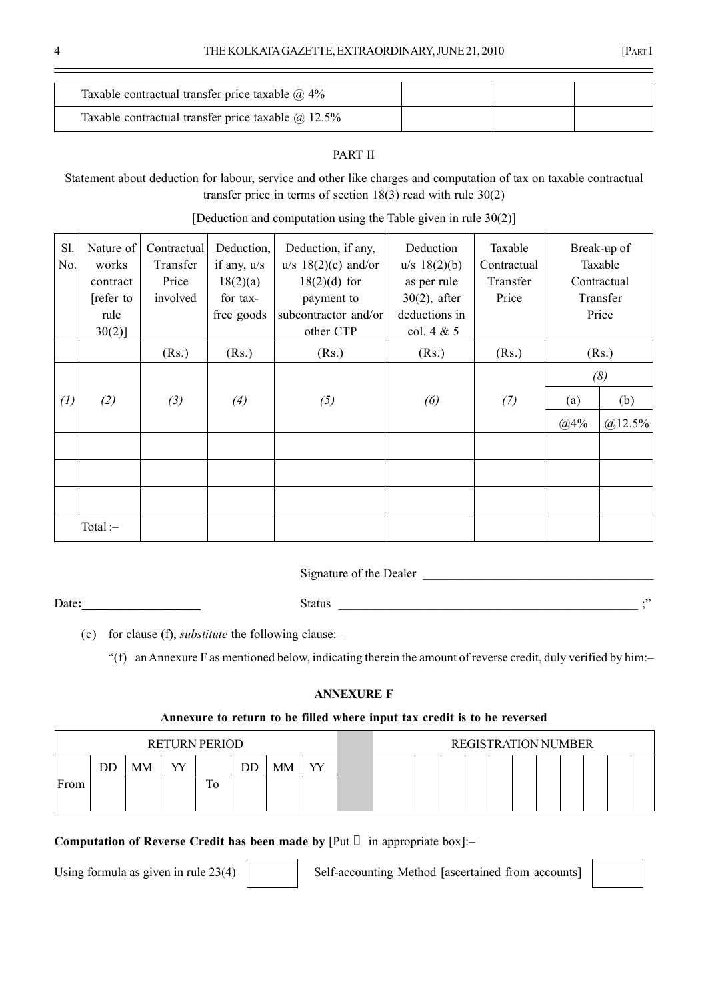| Taxable contractual transfer price taxable $\omega$ 4%    |  |  |
|-----------------------------------------------------------|--|--|
| Taxable contractual transfer price taxable $\omega$ 12.5% |  |  |

# PART II

Statement about deduction for labour, service and other like charges and computation of tax on taxable contractual transfer price in terms of section 18(3) read with rule 30(2)

| Sl.<br>No.        | Nature of<br>works<br>contract<br>[refer to<br>rule<br>$30(2)$ ] | Contractual<br>Transfer<br>Price<br>involved | Deduction,<br>if any, $u/s$<br>18(2)(a)<br>for tax-<br>free goods | Deduction, if any,<br>$u/s$ 18(2)(c) and/or<br>$18(2)(d)$ for<br>payment to<br>subcontractor and/or<br>other CTP | Deduction<br>$u/s$ 18(2)(b)<br>as per rule<br>$30(2)$ , after<br>deductions in<br>col. $4 & 5$ | Taxable<br>Contractual<br>Transfer<br>Price | Break-up of<br>Taxable<br>Contractual<br>Transfer<br>Price |                         |
|-------------------|------------------------------------------------------------------|----------------------------------------------|-------------------------------------------------------------------|------------------------------------------------------------------------------------------------------------------|------------------------------------------------------------------------------------------------|---------------------------------------------|------------------------------------------------------------|-------------------------|
|                   |                                                                  | (Rs.)                                        | (Rs.)                                                             | (Rs.)                                                                                                            | (Rs.)                                                                                          | (Rs.)                                       |                                                            | (Rs.)                   |
| $\left( l\right)$ | (2)                                                              | (3)                                          | (4)                                                               | (5)                                                                                                              | (6)                                                                                            | (7)                                         | (a)<br>@4%                                                 | (8)<br>(b)<br>$@12.5\%$ |
|                   |                                                                  |                                              |                                                                   |                                                                                                                  |                                                                                                |                                             |                                                            |                         |
| Total:            |                                                                  |                                              |                                                                   |                                                                                                                  |                                                                                                |                                             |                                                            |                         |

[Deduction and computation using the Table given in rule 30(2)]

Signature of the Dealer

Date:\_\_\_\_\_\_\_\_\_\_\_\_\_\_\_\_\_\_\_ Status \_\_\_\_\_\_\_\_\_\_\_\_\_\_\_\_\_\_\_\_\_\_\_\_\_\_\_\_\_\_\_\_\_\_\_\_\_\_\_\_\_\_\_\_\_\_\_\_ ;î

(c) for clause (f), *substitute* the following clause: $-$ 

 $f(f)$  an Annexure F as mentioned below, indicating therein the amount of reverse credit, duly verified by him:-

#### ANNEXURE F

#### Annexure to return to be filled where input tax credit is to be reversed

|                        |    |    |    | <b>RETURN PERIOD</b> |    |    |   |  |  |  | <b>REGISTRATION NUMBER</b> |  |  |  |
|------------------------|----|----|----|----------------------|----|----|---|--|--|--|----------------------------|--|--|--|
|                        | DĽ | MМ | vv |                      | ЭD | MМ | w |  |  |  |                            |  |  |  |
| $\blacksquare$<br>From |    |    |    | 10                   |    |    |   |  |  |  |                            |  |  |  |
|                        |    |    |    |                      |    |    |   |  |  |  |                            |  |  |  |

Computation of Reverse Credit has been made by  $[Put \t in appropriate box]$ :-

Using formula as given in rule  $23(4)$  Self-accounting Method [ascertained from accounts]

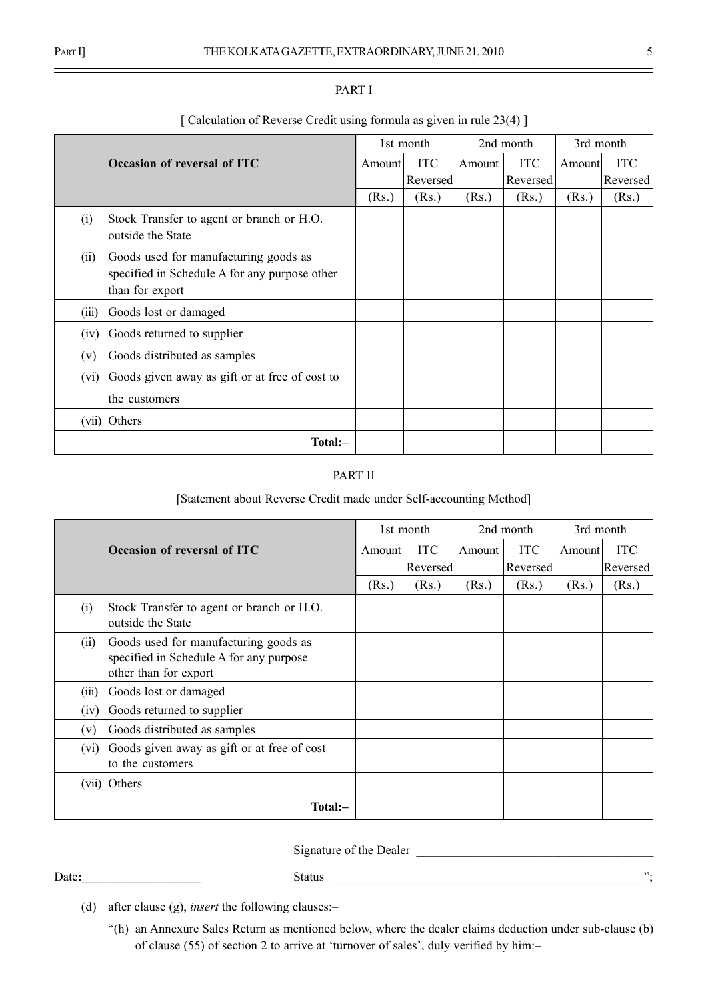|                   | [ Calculation of Reverse Credit using formula as given in rule 23(4) ]                                    |        |            |        |            |           |            |
|-------------------|-----------------------------------------------------------------------------------------------------------|--------|------------|--------|------------|-----------|------------|
|                   |                                                                                                           |        | 1st month  |        | 2nd month  | 3rd month |            |
|                   | Occasion of reversal of ITC                                                                               | Amount | <b>ITC</b> | Amount | <b>ITC</b> | Amount    | <b>ITC</b> |
|                   |                                                                                                           |        | Reversed   |        | Reversed   |           | Reversed   |
|                   |                                                                                                           | (Rs.)  | (Rs.)      | (Rs.)  | (Rs.)      | (Rs.)     | (Rs.)      |
| (i)               | Stock Transfer to agent or branch or H.O.<br>outside the State                                            |        |            |        |            |           |            |
| (ii)              | Goods used for manufacturing goods as<br>specified in Schedule A for any purpose other<br>than for export |        |            |        |            |           |            |
| (iii)             | Goods lost or damaged                                                                                     |        |            |        |            |           |            |
| (1V)              | Goods returned to supplier                                                                                |        |            |        |            |           |            |
| (v)               | Goods distributed as samples                                                                              |        |            |        |            |           |            |
| (v <sub>1</sub> ) | Goods given away as gift or at free of cost to                                                            |        |            |        |            |           |            |
|                   | the customers                                                                                             |        |            |        |            |           |            |
|                   | (vii) Others                                                                                              |        |            |        |            |           |            |
|                   | Total:-                                                                                                   |        |            |        |            |           |            |

### PART I

#### PART II

# [Statement about Reverse Credit made under Self-accounting Method]

|                   |                                                                                                           |        | 1st month  |        | 2nd month  | 3rd month |            |
|-------------------|-----------------------------------------------------------------------------------------------------------|--------|------------|--------|------------|-----------|------------|
|                   | Occasion of reversal of ITC                                                                               | Amount | <b>ITC</b> | Amount | <b>ITC</b> | Amount    | <b>ITC</b> |
|                   |                                                                                                           |        | Reversed   |        | Reversed   |           | Reversed   |
|                   |                                                                                                           | (Rs.)  | (Rs.)      | (Rs.)  | (Rs.)      | (Rs.)     | (Rs.)      |
| (i)               | Stock Transfer to agent or branch or H.O.<br>outside the State                                            |        |            |        |            |           |            |
| (i)               | Goods used for manufacturing goods as<br>specified in Schedule A for any purpose<br>other than for export |        |            |        |            |           |            |
| (iii)             | Goods lost or damaged                                                                                     |        |            |        |            |           |            |
| (iv)              | Goods returned to supplier                                                                                |        |            |        |            |           |            |
| (v)               | Goods distributed as samples                                                                              |        |            |        |            |           |            |
| (v <sub>i</sub> ) | Goods given away as gift or at free of cost<br>to the customers                                           |        |            |        |            |           |            |
|                   | (vii) Others                                                                                              |        |            |        |            |           |            |
|                   | Total:-                                                                                                   |        |            |        |            |           |            |

Signature of the Dealer

Date:  $\blacksquare$ 

- (d) after clause (g), *insert* the following clauses: $$ 
	- ì(h) an Annexure Sales Return as mentioned below, where the dealer claims deduction under sub-clause (b) of clause (55) of section 2 to arrive at 'turnover of sales', duly verified by him: $-$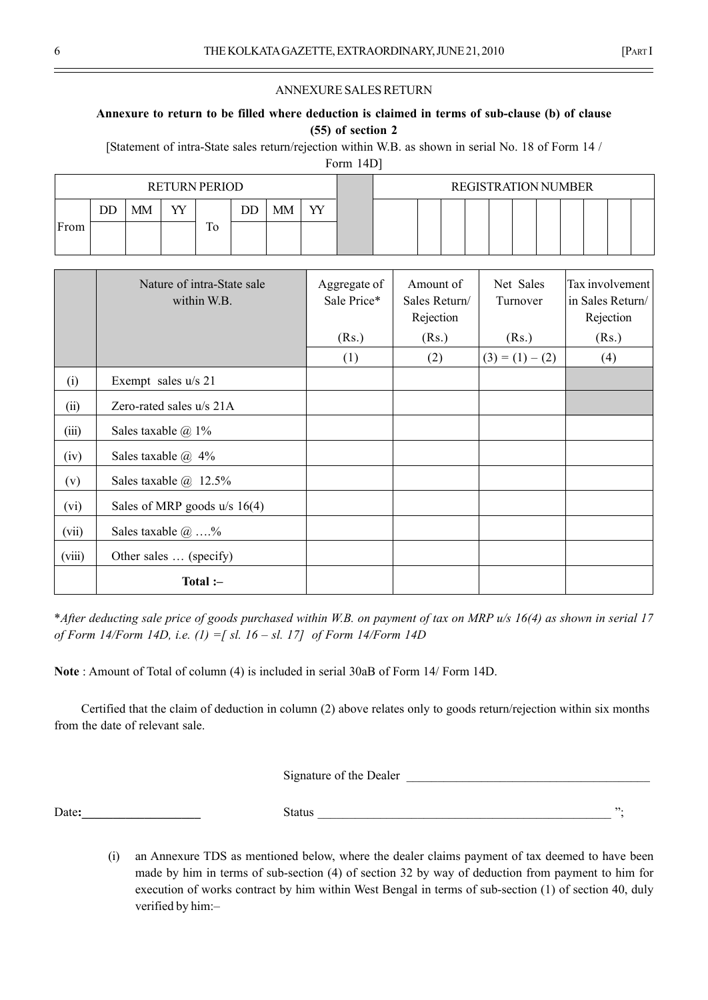#### ANNEXURE SALES RETURN

### Annexure to return to be filled where deduction is claimed in terms of sub-clause (b) of clause (55) of section 2

[Statement of intra-State sales return/rejection within W.B. as shown in serial No. 18 of Form 14 /

Form 14D]

|      |    |    | <b>RETURN PERIOD</b><br>W<br>MМ<br>DD<br>m<br>10 |  |    | <b>REGISTRATION NUMBER</b> |  |  |  |  |  |  |  |  |
|------|----|----|--------------------------------------------------|--|----|----------------------------|--|--|--|--|--|--|--|--|
|      | DD | MM |                                                  |  | VV |                            |  |  |  |  |  |  |  |  |
| From |    |    |                                                  |  |    |                            |  |  |  |  |  |  |  |  |

|        | Nature of intra-State sale<br>within W.B. | Aggregate of<br>Sale Price* | Amount of<br>Sales Return/<br>Rejection | Net Sales<br>Turnover | Tax involvement<br>in Sales Return/<br>Rejection |
|--------|-------------------------------------------|-----------------------------|-----------------------------------------|-----------------------|--------------------------------------------------|
|        |                                           | (Rs.)                       | (Rs.)                                   | (Rs.)                 | (Rs.)                                            |
|        |                                           | (1)                         | (2)                                     | $(3) = (1) - (2)$     | (4)                                              |
| (i)    | Exempt sales u/s 21                       |                             |                                         |                       |                                                  |
| (ii)   | Zero-rated sales $u/s$ 21A                |                             |                                         |                       |                                                  |
| (iii)  | Sales taxable $\omega$ 1%                 |                             |                                         |                       |                                                  |
| (iv)   | Sales taxable $\omega$ 4%                 |                             |                                         |                       |                                                  |
| (v)    | Sales taxable $\omega$ 12.5%              |                             |                                         |                       |                                                  |
| (vi)   | Sales of MRP goods $u/s$ 16(4)            |                             |                                         |                       |                                                  |
| (vii)  | Sales taxable $@$ %                       |                             |                                         |                       |                                                  |
| (viii) | Other sales  (specify)                    |                             |                                         |                       |                                                  |
|        | Total :-                                  |                             |                                         |                       |                                                  |

\*After deducting sale price of goods purchased within W.B. on payment of tax on MRP u/s 16(4) as shown in serial 17 of Form 14/Form 14D, i.e.  $(1) = [sl. 16 - sl. 17]$  of Form 14/Form 14D

Note : Amount of Total of column (4) is included in serial 30aB of Form 14/ Form 14D.

Certified that the claim of deduction in column (2) above relates only to goods return/rejection within six months from the date of relevant sale.

Signature of the Dealer

Date: Status Execution Status and Status and Status and Status and Status and Status and Status and Status and Status and Status and Status and Status and Status and Status and Status and Status and Status and Status and S

(i) an Annexure TDS as mentioned below, where the dealer claims payment of tax deemed to have been made by him in terms of sub-section (4) of section 32 by way of deduction from payment to him for execution of works contract by him within West Bengal in terms of sub-section (1) of section 40, duly verified by him:-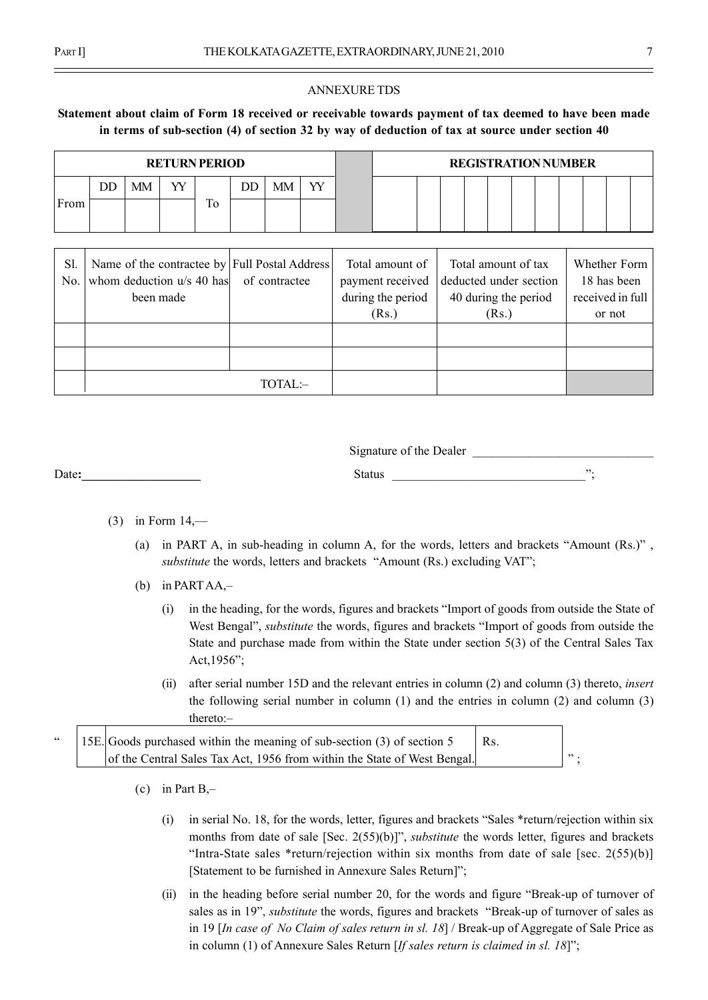#### ANNEXURE TDS

# Statement about claim of Form 18 received or receivable towards payment of tax deemed to have been made in terms of sub-section (4) of section 32 by way of deduction of tax at source under section 40

|      |                                                        |                                               | <b>RETURN PERIOD</b> |    |    |    |    |  |                  |                        |                     | <b>REGISTRATION NUMBER</b> |  |              |  |
|------|--------------------------------------------------------|-----------------------------------------------|----------------------|----|----|----|----|--|------------------|------------------------|---------------------|----------------------------|--|--------------|--|
|      | DD                                                     | <b>MM</b>                                     | YY                   |    | DD | МM | YY |  |                  |                        |                     |                            |  |              |  |
| From |                                                        |                                               |                      | Tо |    |    |    |  |                  |                        |                     |                            |  |              |  |
|      |                                                        |                                               |                      |    |    |    |    |  |                  |                        |                     |                            |  |              |  |
|      |                                                        |                                               |                      |    |    |    |    |  |                  |                        |                     |                            |  |              |  |
| S1   |                                                        | Name of the contractee by Full Postal Address |                      |    |    |    |    |  | Total amount of  |                        | Total amount of tax |                            |  | Whether Form |  |
| No.  | whom deduction u/s 40 has of contractee                |                                               |                      |    |    |    |    |  | payment received | deducted under section |                     |                            |  | 18 has been  |  |
|      | during the period<br>40 during the period<br>been made |                                               |                      |    |    |    |    |  |                  | received in full       |                     |                            |  |              |  |
|      |                                                        |                                               |                      |    |    |    |    |  | (Rs.)            |                        | (Rs.)               |                            |  | or not       |  |
|      |                                                        |                                               |                      |    |    |    |    |  |                  |                        |                     |                            |  |              |  |

|  | TOTAL:- |  |  |
|--|---------|--|--|
|  |         |  |  |

Signature of the Dealer

Date: The contract of the contract of the Status and Status and Status and Status and Status and Status and Status and Status and Status and Status and Status and Status and Status and Status and Status and Status and Stat

- $(3)$  in Form  $14$ ,—
	- (a) in PART A, in sub-heading in column A, for the words, letters and brackets "Amount  $(Rs.)$ ", substitute the words, letters and brackets "Amount (Rs.) excluding VAT";
	- (b) in PARTAA, $-$ 
		- (i) in the heading, for the words, figures and brackets "Import of goods from outside the State of West Bengal", *substitute* the words, figures and brackets "Import of goods from outside the State and purchase made from within the State under section 5(3) of the Central Sales Tax Act, 1956";
		- (ii) after serial number 15D and the relevant entries in column (2) and column (3) thereto, insert the following serial number in column (1) and the entries in column (2) and column (3) thereto:-

 $\degree$  15E. Goods purchased within the meaning of sub-section (3) of section 5 Rs. of the Central Sales Tax Act, 1956 from within the State of West Bengal.  $\vert$  ";

- (c) in Part  $B_{\tau}$ 
	- $(i)$  in serial No. 18, for the words, letter, figures and brackets "Sales \*return/rejection within six months from date of sale  $[Sec. 2(55)(b)]$ ", *substitute* the words letter, figures and brackets "Intra-State sales \*return/rejection within six months from date of sale [sec.  $2(55)(b)$ ] [Statement to be furnished in Annexure Sales Return]";
	- (ii) in the heading before serial number 20, for the words and figure "Break-up of turnover of sales as in 19", *substitute* the words, figures and brackets "Break-up of turnover of sales as in 19 [In case of No Claim of sales return in sl. 18] / Break-up of Aggregate of Sale Price as in column (1) of Annexure Sales Return [If sales return is claimed in sl. 18]";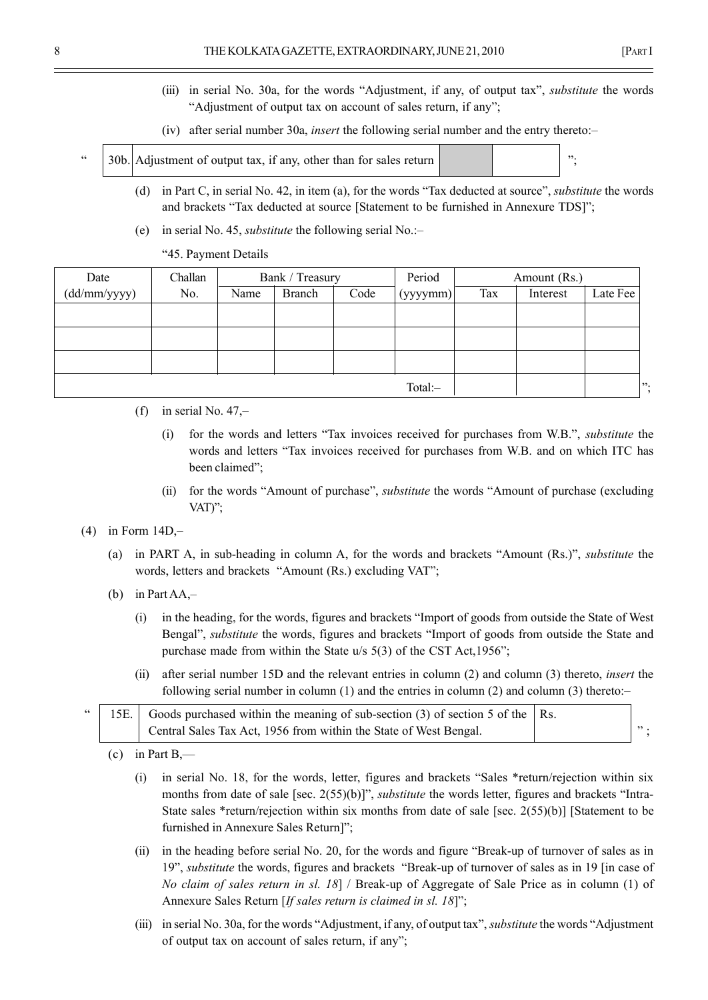- (iii) in serial No. 30a, for the words "Adjustment, if any, of output tax", *substitute* the words "Adjustment of output tax on account of sales return, if any";
- (iv) after serial number 30a, *insert* the following serial number and the entry thereto: $-$
- 30b. Adjustment of output tax, if any, other than for sales return  $\begin{bmatrix} \cdots \\ \cdots \end{bmatrix}$ 
	- (d) in Part C, in serial No. 42, in item (a), for the words "Tax deducted at source", *substitute* the words and brackets "Tax deducted at source [Statement to be furnished in Annexure TDS]";
	- (e) in serial No. 45, *substitute* the following serial No.: $$ 
		- ì45. Payment Details

| Date                 | Challan |      | Bank / Treasury |      | Period   |     | Amount (Rs.) |          |  |
|----------------------|---------|------|-----------------|------|----------|-----|--------------|----------|--|
| $(dd/\text{mm/yyy})$ | No.     | Name | <b>Branch</b>   | Code | (yyyymm) | Tax | Interest     | Late Fee |  |
|                      |         |      |                 |      |          |     |              |          |  |
|                      |         |      |                 |      |          |     |              |          |  |
|                      |         |      |                 |      |          |     |              |          |  |
|                      |         |      |                 |      |          |     |              |          |  |
|                      |         |      |                 |      | Total:-  |     |              | ∣";      |  |

- (f) in serial No.  $47$ , $-$ 
	- (i) for the words and letters "Tax invoices received for purchases from  $W.B."$ , *substitute* the words and letters "Tax invoices received for purchases from W.B. and on which ITC has been claimed";
	- (ii) for the words "Amount of purchase", *substitute* the words "Amount of purchase (excluding VAT $"$ ;
- (4) in Form  $14D$ , $-$ 
	- (a) in PART A, in sub-heading in column A, for the words and brackets "Amount  $(Rs.)$ ", *substitute* the words, letters and brackets "Amount (Rs.) excluding VAT";
	- (b) in Part AA, $-$ 
		- (i) in the heading, for the words, figures and brackets "Import of goods from outside the State of West Bengal", *substitute* the words, figures and brackets "Import of goods from outside the State and purchase made from within the State  $u/s$  5(3) of the CST Act,1956";
		- (ii) after serial number 15D and the relevant entries in column (2) and column (3) thereto, insert the following serial number in column  $(1)$  and the entries in column  $(2)$  and column  $(3)$  thereto:

|  | "   15E.   Goods purchased within the meaning of sub-section (3) of section 5 of the $ $ Rs. |  |
|--|----------------------------------------------------------------------------------------------|--|
|  | Central Sales Tax Act, 1956 from within the State of West Bengal.                            |  |

- (c) in Part B,—
	- (i) in serial No. 18, for the words, letter, figures and brackets "Sales  $*$ return/rejection within six months from date of sale [sec.  $2(55)(b)$ ]", *substitute* the words letter, figures and brackets "Intra-State sales \*return/rejection within six months from date of sale [sec. 2(55)(b)] [Statement to be furnished in Annexure Sales Return]";
	- $(ii)$  in the heading before serial No. 20, for the words and figure "Break-up of turnover of sales as in 19", *substitute* the words, figures and brackets "Break-up of turnover of sales as in 19 [in case of No claim of sales return in sl. 18] / Break-up of Aggregate of Sale Price as in column (1) of Annexure Sales Return [If sales return is claimed in sl. 18]";
	- (iii) in serial No. 30a, for the words "Adjustment, if any, of output tax", *substitute* the words "Adjustment" of output tax on account of sales return, if any";